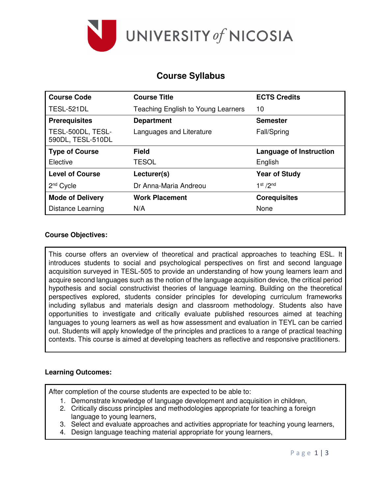

# **Course Syllabus**

| <b>Course Code</b>                     | <b>Course Title</b>                | <b>ECTS Credits</b>               |
|----------------------------------------|------------------------------------|-----------------------------------|
| TESL-521DL                             | Teaching English to Young Learners | 10                                |
| <b>Prerequisites</b>                   | <b>Department</b>                  | <b>Semester</b>                   |
| TESL-500DL, TESL-<br>590DL, TESL-510DL | Languages and Literature           | Fall/Spring                       |
| <b>Type of Course</b>                  | <b>Field</b>                       | <b>Language of Instruction</b>    |
| Elective                               | <b>TESOL</b>                       | English                           |
| <b>Level of Course</b>                 | Lecturer(s)                        | <b>Year of Study</b>              |
| 2 <sup>nd</sup> Cycle                  | Dr Anna-Maria Andreou              | 1 <sup>st</sup> / 2 <sup>nd</sup> |
| <b>Mode of Delivery</b>                | <b>Work Placement</b>              | <b>Corequisites</b>               |
| Distance Learning                      | N/A                                | None                              |

### **Course Objectives:**

This course offers an overview of theoretical and practical approaches to teaching ESL. It introduces students to social and psychological perspectives on first and second language acquisition surveyed in TESL-505 to provide an understanding of how young learners learn and acquire second languages such as the notion of the language acquisition device, the critical period hypothesis and social constructivist theories of language learning. Building on the theoretical perspectives explored, students consider principles for developing curriculum frameworks including syllabus and materials design and classroom methodology. Students also have opportunities to investigate and critically evaluate published resources aimed at teaching languages to young learners as well as how assessment and evaluation in TEYL can be carried out. Students will apply knowledge of the principles and practices to a range of practical teaching contexts. This course is aimed at developing teachers as reflective and responsive practitioners.

#### **Learning Outcomes:**

After completion of the course students are expected to be able to:

- 1. Demonstrate knowledge of language development and acquisition in children,
- 2. Critically discuss principles and methodologies appropriate for teaching a foreign language to young learners,
- 3. Select and evaluate approaches and activities appropriate for teaching young learners,
- 4. Design language teaching material appropriate for young learners,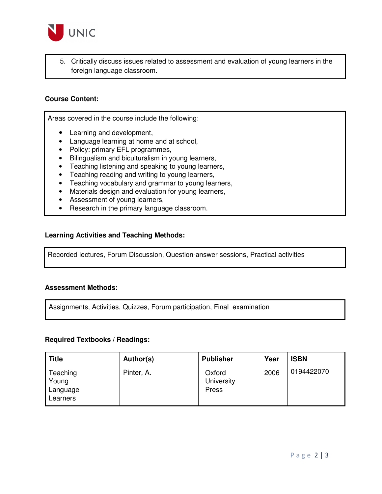

5. Critically discuss issues related to assessment and evaluation of young learners in the foreign language classroom.

#### **Course Content:**

Areas covered in the course include the following:

- Learning and development,
- Language learning at home and at school,
- Policy: primary EFL programmes,
- Bilingualism and biculturalism in young learners,
- Teaching listening and speaking to young learners,
- Teaching reading and writing to young learners,
- Teaching vocabulary and grammar to young learners,
- Materials design and evaluation for young learners,
- Assessment of young learners,
- Research in the primary language classroom.

#### **Learning Activities and Teaching Methods:**

Recorded lectures, Forum Discussion, Question-answer sessions, Practical activities

#### **Assessment Methods:**

Assignments, Activities, Quizzes, Forum participation, Final examination

#### **Required Textbooks / Readings:**

| <b>Title</b>                              | Author(s)  | <b>Publisher</b>              | Year | <b>ISBN</b> |
|-------------------------------------------|------------|-------------------------------|------|-------------|
| Teaching<br>Young<br>Language<br>Learners | Pinter, A. | Oxford<br>University<br>Press | 2006 | 0194422070  |